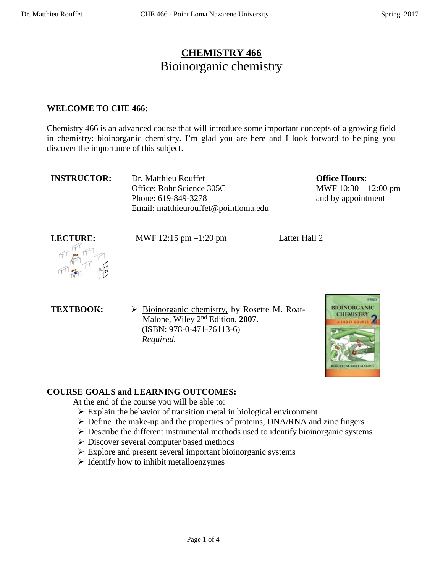## **CHEMISTRY 466** Bioinorganic chemistry

#### **WELCOME TO CHE 466:**

Chemistry 466 is an advanced course that will introduce some important concepts of a growing field in chemistry: bioinorganic chemistry. I'm glad you are here and I look forward to helping you discover the importance of this subject.

| <b>INSTRUCTOR:</b> | Dr. Matthieu Rouffet                 |
|--------------------|--------------------------------------|
|                    | Office: Rohr Science 305C            |
|                    | Phone: 619-849-3278                  |
|                    | Email: matthieurouffet@pointloma.edu |

**Office Hours:**  MWF 10:30 – 12:00 pm and by appointment

LECTURE: MWF 12:15 pm –1:20 pm Latter Hall 2

**TEXTBOOK:**  $\triangleright$  **Bioinorganic chemistry, by Rosette M. Roat-**Malone, Wiley 2nd Edition, **2007**. (ISBN: 978-0-471-76113-6)  *Required.*



## **COURSE GOALS and LEARNING OUTCOMES:**

At the end of the course you will be able to:

- $\triangleright$  Explain the behavior of transition metal in biological environment
- $\triangleright$  Define the make-up and the properties of proteins, DNA/RNA and zinc fingers
- $\triangleright$  Describe the different instrumental methods used to identify bioinorganic systems
- Discover several computer based methods
- $\triangleright$  Explore and present several important bioinorganic systems
- $\triangleright$  Identify how to inhibit metalloenzymes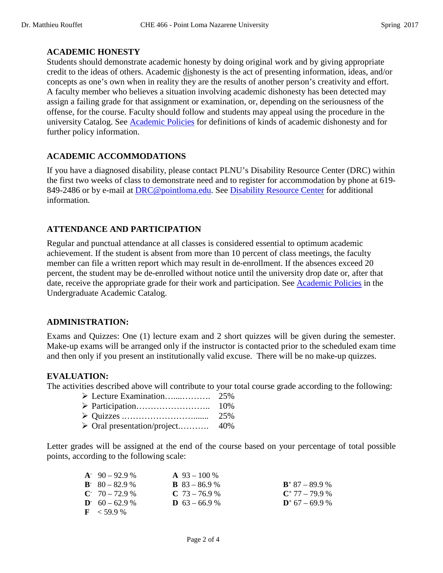#### **ACADEMIC HONESTY**

Students should demonstrate academic honesty by doing original work and by giving appropriate credit to the ideas of others. Academic dishonesty is the act of presenting information, ideas, and/or concepts as one's own when in reality they are the results of another person's creativity and effort. A faculty member who believes a situation involving academic dishonesty has been detected may assign a failing grade for that assignment or examination, or, depending on the seriousness of the offense, for the course. Faculty should follow and students may appeal using the procedure in the university Catalog. See [Academic Policies](http://catalog.pointloma.edu/content.php?catoid=18&navoid=1278) for definitions of kinds of academic dishonesty and for further policy information.

#### **ACADEMIC ACCOMMODATIONS**

If you have a diagnosed disability, please contact PLNU's Disability Resource Center (DRC) within the first two weeks of class to demonstrate need and to register for accommodation by phone at 619- 849-2486 or by e-mail at [DRC@pointloma.edu.](mailto:DRC@pointloma.edu) See [Disability Resource Center](http://www.pointloma.edu/experience/offices/administrative-offices/academic-advising-office/disability-resource-center) for additional information.

### **ATTENDANCE AND PARTICIPATION**

Regular and punctual attendance at all classes is considered essential to optimum academic achievement. If the student is absent from more than 10 percent of class meetings, the faculty member can file a written report which may result in de-enrollment. If the absences exceed 20 percent, the student may be de-enrolled without notice until the university drop date or, after that date, receive the appropriate grade for their work and participation. See [Academic Policies](http://catalog.pointloma.edu/content.php?catoid=18&navoid=1278) in the Undergraduate Academic Catalog.

#### **ADMINISTRATION:**

Exams and Quizzes: One (1) lecture exam and 2 short quizzes will be given during the semester. Make-up exams will be arranged only if the instructor is contacted prior to the scheduled exam time and then only if you present an institutionally valid excuse. There will be no make-up quizzes.

#### **EVALUATION:**

The activities described above will contribute to your total course grade according to the following:

Oral presentation/project.………. 40%

Letter grades will be assigned at the end of the course based on your percentage of total possible points, according to the following scale:

| $A^{\sim}$ 90 – 92.9 % | $\mathbf{A}$ 93 – 100 % |                   |
|------------------------|-------------------------|-------------------|
| $B - 80 - 82.9$ %      | <b>B</b> $83 - 86.9$ %  | $B^+$ 87 - 89.9 % |
| $C = 70 - 72.9$ %      | $C$ 73 – 76.9 %         | $C^+$ 77 – 79.9 % |
| $D = 60 - 62.9$ %      | <b>D</b> $63 - 66.9$ %  | $D^*$ 67 – 69.9 % |
| $\mathbf{F}$ < 59.9 %  |                         |                   |